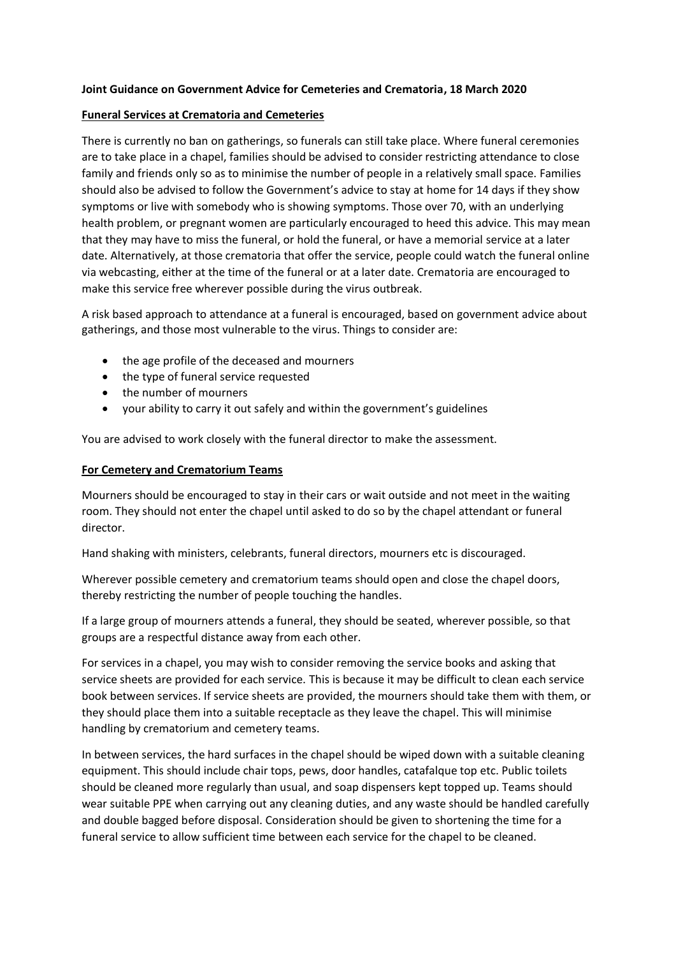#### **Joint Guidance on Government Advice for Cemeteries and Crematoria, 18 March 2020**

#### **Funeral Services at Crematoria and Cemeteries**

There is currently no ban on gatherings, so funerals can still take place. Where funeral ceremonies are to take place in a chapel, families should be advised to consider restricting attendance to close family and friends only so as to minimise the number of people in a relatively small space. Families should also be advised to follow the Government's advice to stay at home for 14 days if they show symptoms or live with somebody who is showing symptoms. Those over 70, with an underlying health problem, or pregnant women are particularly encouraged to heed this advice. This may mean that they may have to miss the funeral, or hold the funeral, or have a memorial service at a later date. Alternatively, at those crematoria that offer the service, people could watch the funeral online via webcasting, either at the time of the funeral or at a later date. Crematoria are encouraged to make this service free wherever possible during the virus outbreak.

A risk based approach to attendance at a funeral is encouraged, based on government advice about gatherings, and those most vulnerable to the virus. Things to consider are:

- the age profile of the deceased and mourners
- the type of funeral service requested
- the number of mourners
- your ability to carry it out safely and within the government's guidelines

You are advised to work closely with the funeral director to make the assessment.

#### **For Cemetery and Crematorium Teams**

Mourners should be encouraged to stay in their cars or wait outside and not meet in the waiting room. They should not enter the chapel until asked to do so by the chapel attendant or funeral director.

Hand shaking with ministers, celebrants, funeral directors, mourners etc is discouraged.

Wherever possible cemetery and crematorium teams should open and close the chapel doors, thereby restricting the number of people touching the handles.

If a large group of mourners attends a funeral, they should be seated, wherever possible, so that groups are a respectful distance away from each other.

For services in a chapel, you may wish to consider removing the service books and asking that service sheets are provided for each service. This is because it may be difficult to clean each service book between services. If service sheets are provided, the mourners should take them with them, or they should place them into a suitable receptacle as they leave the chapel. This will minimise handling by crematorium and cemetery teams.

In between services, the hard surfaces in the chapel should be wiped down with a suitable cleaning equipment. This should include chair tops, pews, door handles, catafalque top etc. Public toilets should be cleaned more regularly than usual, and soap dispensers kept topped up. Teams should wear suitable PPE when carrying out any cleaning duties, and any waste should be handled carefully and double bagged before disposal. Consideration should be given to shortening the time for a funeral service to allow sufficient time between each service for the chapel to be cleaned.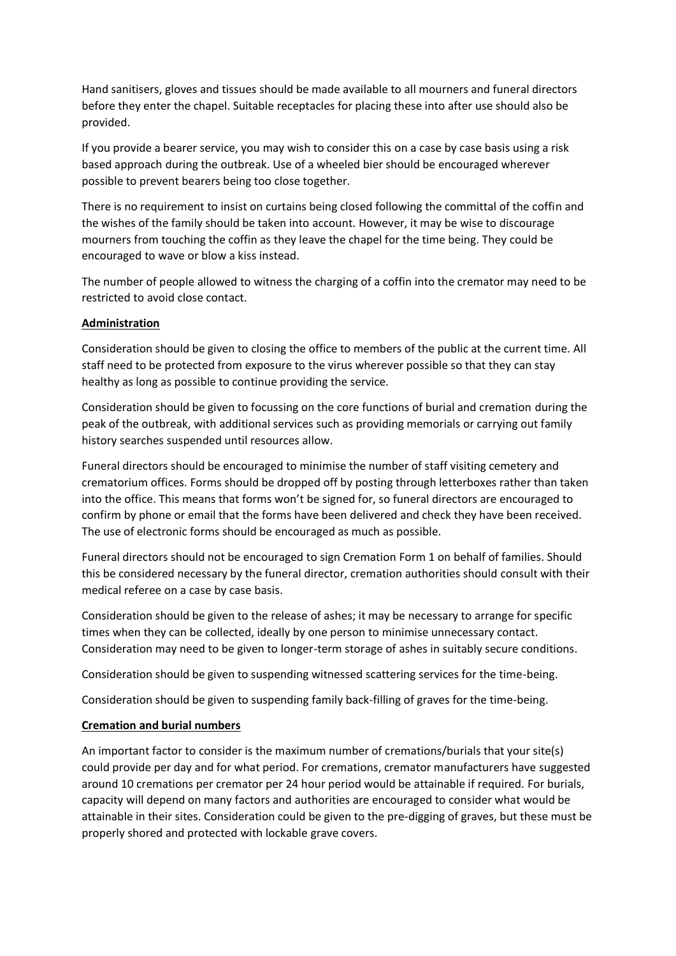Hand sanitisers, gloves and tissues should be made available to all mourners and funeral directors before they enter the chapel. Suitable receptacles for placing these into after use should also be provided.

If you provide a bearer service, you may wish to consider this on a case by case basis using a risk based approach during the outbreak. Use of a wheeled bier should be encouraged wherever possible to prevent bearers being too close together.

There is no requirement to insist on curtains being closed following the committal of the coffin and the wishes of the family should be taken into account. However, it may be wise to discourage mourners from touching the coffin as they leave the chapel for the time being. They could be encouraged to wave or blow a kiss instead.

The number of people allowed to witness the charging of a coffin into the cremator may need to be restricted to avoid close contact.

#### **Administration**

Consideration should be given to closing the office to members of the public at the current time. All staff need to be protected from exposure to the virus wherever possible so that they can stay healthy as long as possible to continue providing the service.

Consideration should be given to focussing on the core functions of burial and cremation during the peak of the outbreak, with additional services such as providing memorials or carrying out family history searches suspended until resources allow.

Funeral directors should be encouraged to minimise the number of staff visiting cemetery and crematorium offices. Forms should be dropped off by posting through letterboxes rather than taken into the office. This means that forms won't be signed for, so funeral directors are encouraged to confirm by phone or email that the forms have been delivered and check they have been received. The use of electronic forms should be encouraged as much as possible.

Funeral directors should not be encouraged to sign Cremation Form 1 on behalf of families. Should this be considered necessary by the funeral director, cremation authorities should consult with their medical referee on a case by case basis.

Consideration should be given to the release of ashes; it may be necessary to arrange for specific times when they can be collected, ideally by one person to minimise unnecessary contact. Consideration may need to be given to longer-term storage of ashes in suitably secure conditions.

Consideration should be given to suspending witnessed scattering services for the time-being.

Consideration should be given to suspending family back-filling of graves for the time-being.

## **Cremation and burial numbers**

An important factor to consider is the maximum number of cremations/burials that your site(s) could provide per day and for what period. For cremations, cremator manufacturers have suggested around 10 cremations per cremator per 24 hour period would be attainable if required. For burials, capacity will depend on many factors and authorities are encouraged to consider what would be attainable in their sites. Consideration could be given to the pre-digging of graves, but these must be properly shored and protected with lockable grave covers.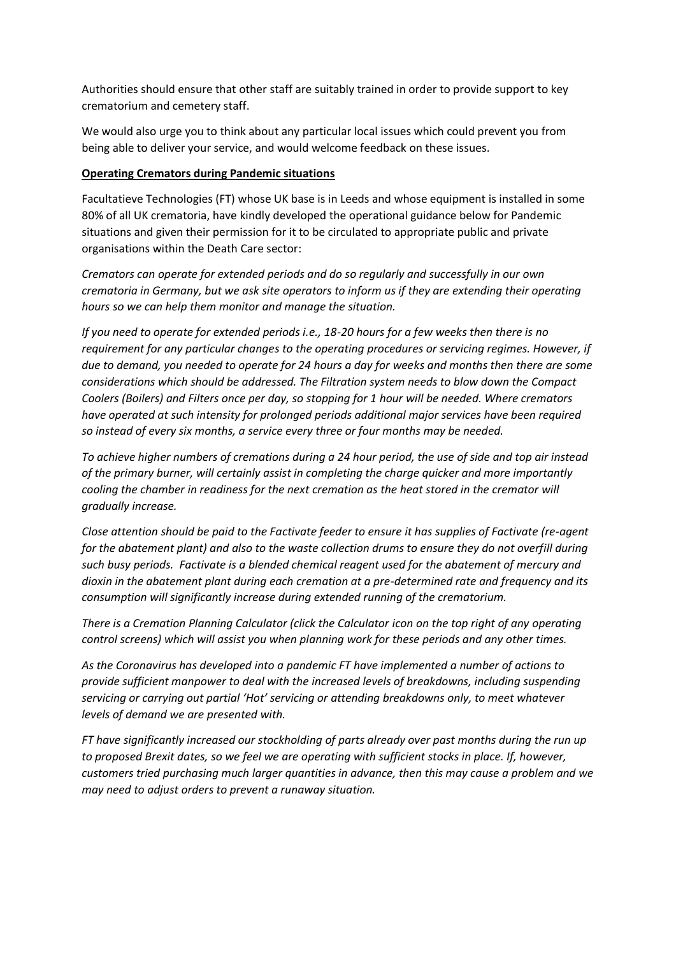Authorities should ensure that other staff are suitably trained in order to provide support to key crematorium and cemetery staff.

We would also urge you to think about any particular local issues which could prevent you from being able to deliver your service, and would welcome feedback on these issues.

### **Operating Cremators during Pandemic situations**

Facultatieve Technologies (FT) whose UK base is in Leeds and whose equipment is installed in some 80% of all UK crematoria, have kindly developed the operational guidance below for Pandemic situations and given their permission for it to be circulated to appropriate public and private organisations within the Death Care sector:

*Cremators can operate for extended periods and do so regularly and successfully in our own crematoria in Germany, but we ask site operators to inform us if they are extending their operating hours so we can help them monitor and manage the situation.* 

*If you need to operate for extended periods i.e., 18-20 hours for a few weeks then there is no requirement for any particular changes to the operating procedures or servicing regimes. However, if due to demand, you needed to operate for 24 hours a day for weeks and months then there are some considerations which should be addressed. The Filtration system needs to blow down the Compact Coolers (Boilers) and Filters once per day, so stopping for 1 hour will be needed. Where cremators have operated at such intensity for prolonged periods additional major services have been required so instead of every six months, a service every three or four months may be needed.* 

*To achieve higher numbers of cremations during a 24 hour period, the use of side and top air instead of the primary burner, will certainly assist in completing the charge quicker and more importantly cooling the chamber in readiness for the next cremation as the heat stored in the cremator will gradually increase.*

*Close attention should be paid to the Factivate feeder to ensure it has supplies of Factivate (re-agent for the abatement plant) and also to the waste collection drums to ensure they do not overfill during such busy periods. Factivate is a blended chemical reagent used for the abatement of mercury and dioxin in the abatement plant during each cremation at a pre-determined rate and frequency and its consumption will significantly increase during extended running of the crematorium.* 

*There is a Cremation Planning Calculator (click the Calculator icon on the top right of any operating control screens) which will assist you when planning work for these periods and any other times.*

*As the Coronavirus has developed into a pandemic FT have implemented a number of actions to provide sufficient manpower to deal with the increased levels of breakdowns, including suspending servicing or carrying out partial 'Hot' servicing or attending breakdowns only, to meet whatever levels of demand we are presented with.*

*FT have significantly increased our stockholding of parts already over past months during the run up to proposed Brexit dates, so we feel we are operating with sufficient stocks in place. If, however, customers tried purchasing much larger quantities in advance, then this may cause a problem and we may need to adjust orders to prevent a runaway situation.*